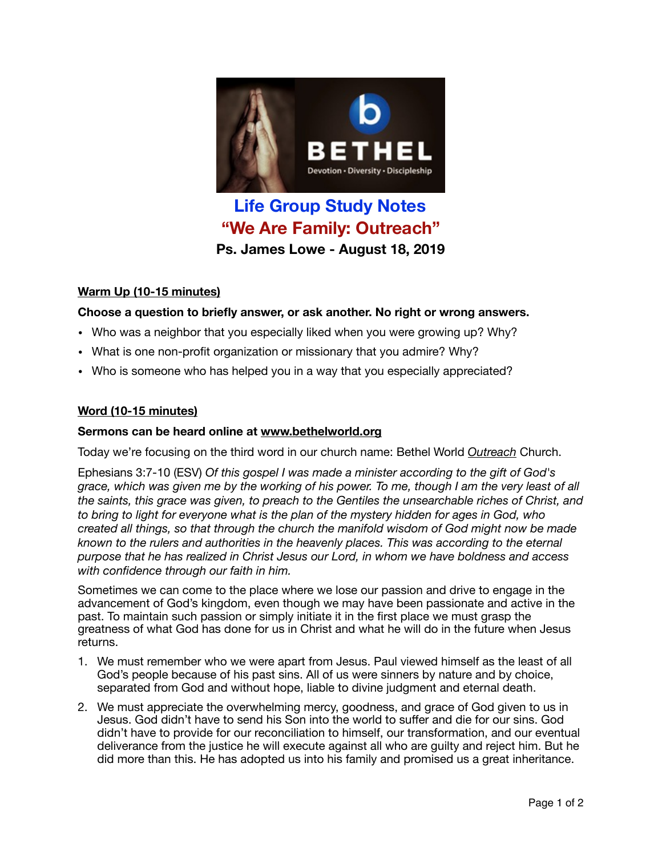

# **Life Group Study Notes "We Are Family: Outreach" Ps. James Lowe - August 18, 2019**

## **Warm Up (10-15 minutes)**

### **Choose a question to briefly answer, or ask another. No right or wrong answers.**

- Who was a neighbor that you especially liked when you were growing up? Why?
- What is one non-profit organization or missionary that you admire? Why?
- Who is someone who has helped you in a way that you especially appreciated?

#### **Word (10-15 minutes)**

#### **Sermons can be heard online at [www.bethelworld.org](http://www.bethelworld.org)**

Today we're focusing on the third word in our church name: Bethel World *Outreach* Church.

Ephesians 3:7-10 (ESV) *Of this gospel I was made a minister according to the gift of God's grace, which was given me by the working of his power. To me, though I am the very least of all the saints, this grace was given, to preach to the Gentiles the unsearchable riches of Christ, and to bring to light for everyone what is the plan of the mystery hidden for ages in God, who created all things, so that through the church the manifold wisdom of God might now be made known to the rulers and authorities in the heavenly places. This was according to the eternal purpose that he has realized in Christ Jesus our Lord, in whom we have boldness and access with confidence through our faith in him.*

Sometimes we can come to the place where we lose our passion and drive to engage in the advancement of God's kingdom, even though we may have been passionate and active in the past. To maintain such passion or simply initiate it in the first place we must grasp the greatness of what God has done for us in Christ and what he will do in the future when Jesus returns.

- 1. We must remember who we were apart from Jesus. Paul viewed himself as the least of all God's people because of his past sins. All of us were sinners by nature and by choice, separated from God and without hope, liable to divine judgment and eternal death.
- 2. We must appreciate the overwhelming mercy, goodness, and grace of God given to us in Jesus. God didn't have to send his Son into the world to suffer and die for our sins. God didn't have to provide for our reconciliation to himself, our transformation, and our eventual deliverance from the justice he will execute against all who are guilty and reject him. But he did more than this. He has adopted us into his family and promised us a great inheritance.